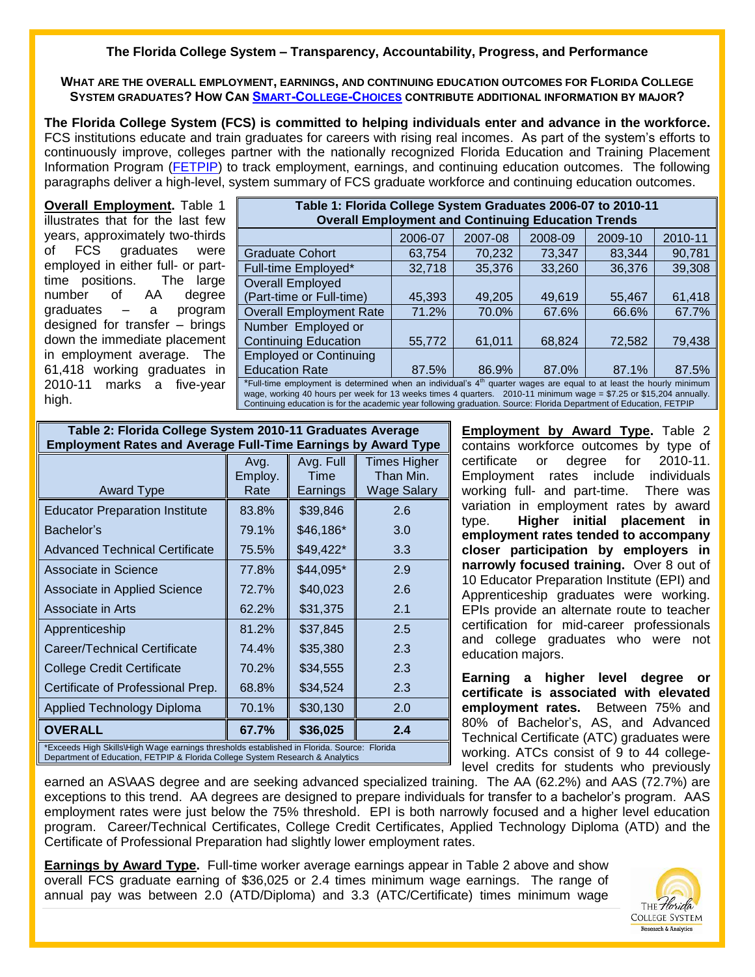## **The Florida College System – Transparency, Accountability, Progress, and Performance**

**WHAT ARE THE OVERALL EMPLOYMENT, EARNINGS, AND CONTINUING EDUCATION OUTCOMES FOR FLORIDA COLLEGE SYSTEM GRADUATES? HOW CAN SMART-COLLEGE-CHOICES CONTRIBUTE ADDITIONAL INFORMATION BY MAJOR?** 

**The Florida College System (FCS) is committed to helping individuals enter and advance in the workforce.** FCS institutions educate and train graduates for careers with rising real incomes. As part of the system's efforts to continuously improve, colleges partner with the nationally recognized Florida Education and Training Placement Information Program [\(FETPIP\)](http://www.fldoe.org/fetpip/) to track employment, earnings, and continuing education outcomes. The following paragraphs deliver a high-level, system summary of FCS graduate workforce and continuing education outcomes.

**Overall Employment.** Table 1 illustrates that for the last few years, approximately two-thirds of FCS graduates were employed in either full- or parttime positions. The large number of AA degree graduates – a program designed for transfer – brings down the immediate placement in employment average. The 61,418 working graduates in 2010-11 marks a five-year high.

| Table 1: Florida College System Graduates 2006-07 to 2010-11                                                                    |         |         |         |         |         |  |  |  |  |
|---------------------------------------------------------------------------------------------------------------------------------|---------|---------|---------|---------|---------|--|--|--|--|
| <b>Overall Employment and Continuing Education Trends</b>                                                                       |         |         |         |         |         |  |  |  |  |
|                                                                                                                                 | 2006-07 | 2007-08 | 2008-09 | 2009-10 | 2010-11 |  |  |  |  |
| <b>Graduate Cohort</b>                                                                                                          | 63,754  | 70,232  | 73,347  | 83,344  | 90,781  |  |  |  |  |
| Full-time Employed*                                                                                                             | 32,718  | 35,376  | 33,260  | 36,376  | 39,308  |  |  |  |  |
| Overall Employed                                                                                                                |         |         |         |         |         |  |  |  |  |
| (Part-time or Full-time)                                                                                                        | 45,393  | 49,205  | 49,619  | 55,467  | 61,418  |  |  |  |  |
| <b>Overall Employment Rate</b>                                                                                                  | 71.2%   | 70.0%   | 67.6%   | 66.6%   | 67.7%   |  |  |  |  |
| Number Employed or                                                                                                              |         |         |         |         |         |  |  |  |  |
| <b>Continuing Education</b>                                                                                                     | 55,772  | 61,011  | 68,824  | 72,582  | 79,438  |  |  |  |  |
| <b>Employed or Continuing</b>                                                                                                   |         |         |         |         |         |  |  |  |  |
| <b>Education Rate</b>                                                                                                           | 87.5%   | 86.9%   | 87.0%   | 87.1%   | 87.5%   |  |  |  |  |
| *Full-time employment is determined when an individual's 4 <sup>th</sup> quarter wages are equal to at least the hourly minimum |         |         |         |         |         |  |  |  |  |

wage, working 40 hours per week for 13 weeks times 4 quarters. 2010-11 minimum wage = \$7.25 or \$15,204 annually. Continuing education is for the academic year following graduation. Source: Florida Department of Education, FETPIP

| Table 2: Florida College System 2010-11 Graduates Average                                                                                                                   |         |           |                    |  |  |  |  |  |
|-----------------------------------------------------------------------------------------------------------------------------------------------------------------------------|---------|-----------|--------------------|--|--|--|--|--|
| <b>Employment Rates and Average Full-Time Earnings by Award Type</b>                                                                                                        |         |           |                    |  |  |  |  |  |
|                                                                                                                                                                             | Avg.    | Avg. Full | Times Higher       |  |  |  |  |  |
|                                                                                                                                                                             | Employ. | Time      | Than Min.          |  |  |  |  |  |
| <b>Award Type</b>                                                                                                                                                           | Rate    | Earnings  | <b>Wage Salary</b> |  |  |  |  |  |
| <b>Educator Preparation Institute</b>                                                                                                                                       | 83.8%   | \$39,846  | 2.6                |  |  |  |  |  |
| Bachelor's                                                                                                                                                                  | 79.1%   | \$46,186* | 3.0                |  |  |  |  |  |
| <b>Advanced Technical Certificate</b>                                                                                                                                       | 75.5%   | \$49,422* | 3.3                |  |  |  |  |  |
| Associate in Science                                                                                                                                                        | 77.8%   | \$44,095* | 2.9                |  |  |  |  |  |
| Associate in Applied Science                                                                                                                                                | 72.7%   | \$40,023  | 2.6                |  |  |  |  |  |
| Associate in Arts                                                                                                                                                           | 62.2%   | \$31,375  | 2.1                |  |  |  |  |  |
| Apprenticeship                                                                                                                                                              | 81.2%   | \$37,845  | 2.5                |  |  |  |  |  |
| Career/Technical Certificate                                                                                                                                                | 74.4%   | \$35,380  | 2.3                |  |  |  |  |  |
| <b>College Credit Certificate</b>                                                                                                                                           | 70.2%   | \$34,555  | 2.3                |  |  |  |  |  |
| Certificate of Professional Prep.                                                                                                                                           | 68.8%   | \$34,524  | 2.3                |  |  |  |  |  |
| Applied Technology Diploma                                                                                                                                                  | 70.1%   | \$30,130  | 2.0                |  |  |  |  |  |
| <b>OVERALL</b>                                                                                                                                                              | 67.7%   | \$36,025  | 2.4                |  |  |  |  |  |
| *Exceeds High Skills\High Wage earnings thresholds established in Florida. Source: Florida<br>Department of Education, FETPIP & Florida College System Research & Analytics |         |           |                    |  |  |  |  |  |

**Employment by Award Type.** Table 2 contains workforce outcomes by type of certificate or degree for 2010-11. Employment rates include individuals working full- and part-time. There was variation in employment rates by award type. **Higher initial placement in employment rates tended to accompany closer participation by employers in narrowly focused training.** Over 8 out of 10 Educator Preparation Institute (EPI) and Apprenticeship graduates were working. EPIs provide an alternate route to teacher certification for mid-career professionals and college graduates who were not education majors.

**Earning a higher level degree or certificate is associated with elevated employment rates.** Between 75% and 80% of Bachelor's, AS, and Advanced Technical Certificate (ATC) graduates were working. ATCs consist of 9 to 44 collegelevel credits for students who previously

earned an AS\AAS degree and are seeking advanced specialized training. The AA (62.2%) and AAS (72.7%) are exceptions to this trend. AA degrees are designed to prepare individuals for transfer to a bachelor's program. AAS employment rates were just below the 75% threshold. EPI is both narrowly focused and a higher level education program. Career/Technical Certificates, College Credit Certificates, Applied Technology Diploma (ATD) and the Certificate of Professional Preparation had slightly lower employment rates.

**Earnings by Award Type.** Full-time worker average earnings appear in Table 2 above and show overall FCS graduate earning of \$36,025 or 2.4 times minimum wage earnings. The range of annual pay was between 2.0 (ATD/Diploma) and 3.3 (ATC/Certificate) times minimum wage

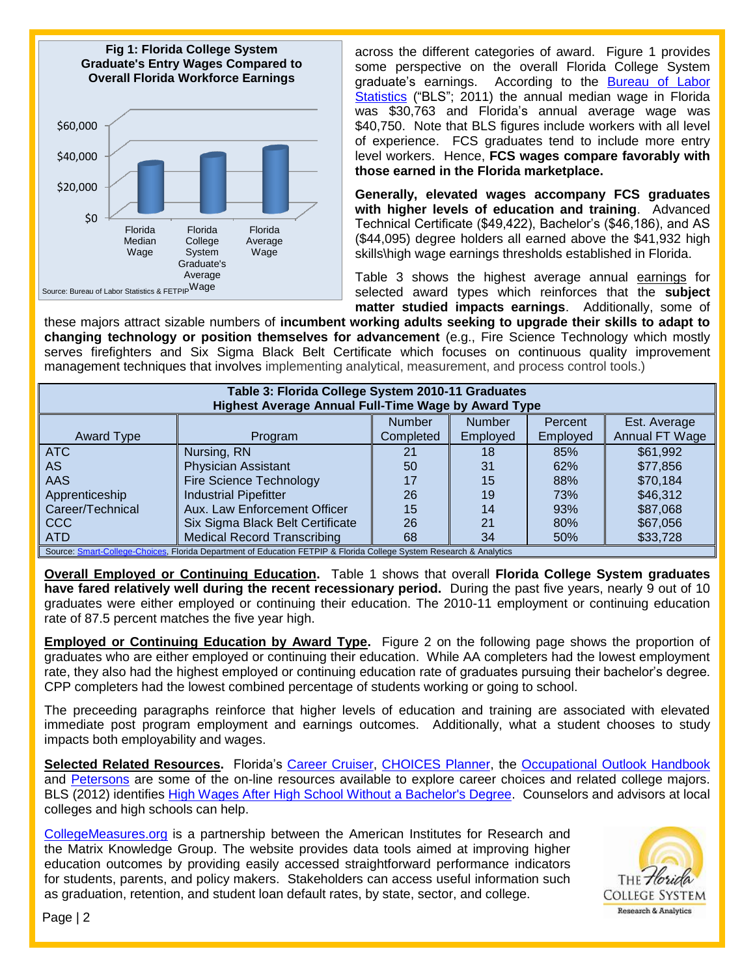

across the different categories of award. Figure 1 provides some perspective on the overall Florida College System graduate's earnings. According to the [Bureau of Labor](http://www.bls.gov/oes/current/oes_fl.htm)  [Statistics](http://www.bls.gov/oes/current/oes_fl.htm) ("BLS"; 2011) the annual median wage in Florida was \$30,763 and Florida's annual average wage was \$40,750. Note that BLS figures include workers with all level of experience. FCS graduates tend to include more entry level workers. Hence, **FCS wages compare favorably with those earned in the Florida marketplace.** 

**Generally, elevated wages accompany FCS graduates with higher levels of education and training**. Advanced Technical Certificate (\$49,422), Bachelor's (\$46,186), and AS (\$44,095) degree holders all earned above the \$41,932 high skills\high wage earnings thresholds established in Florida.

Table 3 shows the highest average annual earnings for selected award types which reinforces that the **subject matter studied impacts earnings**. Additionally, some of

these majors attract sizable numbers of **incumbent working adults seeking to upgrade their skills to adapt to changing technology or position themselves for advancement** (e.g., Fire Science Technology which mostly serves firefighters and Six Sigma Black Belt Certificate which focuses on continuous quality improvement management techniques that involves implementing analytical, measurement, and process control tools.)

| Table 3: Florida College System 2010-11 Graduates<br><b>Highest Average Annual Full-Time Wage by Award Type</b>     |                                    |               |               |          |                |  |  |  |
|---------------------------------------------------------------------------------------------------------------------|------------------------------------|---------------|---------------|----------|----------------|--|--|--|
|                                                                                                                     |                                    | <b>Number</b> | <b>Number</b> | Percent  | Est. Average   |  |  |  |
| <b>Award Type</b>                                                                                                   | Program                            | Completed     | Employed      | Employed | Annual FT Wage |  |  |  |
| <b>ATC</b>                                                                                                          | Nursing, RN                        | 21            | 18            | 85%      | \$61,992       |  |  |  |
| <b>AS</b>                                                                                                           | <b>Physician Assistant</b>         | 50            | 31            | 62%      | \$77,856       |  |  |  |
| AAS                                                                                                                 | Fire Science Technology            |               | 15            | 88%      | \$70,184       |  |  |  |
| Apprenticeship                                                                                                      | <b>Industrial Pipefitter</b>       | 26            | 19            | 73%      | \$46,312       |  |  |  |
| Career/Technical                                                                                                    | Aux. Law Enforcement Officer       | 15            | 14            | 93%      | \$87,068       |  |  |  |
| <b>CCC</b>                                                                                                          | Six Sigma Black Belt Certificate   | 26            | 21            | 80%      | \$67,056       |  |  |  |
| <b>ATD</b>                                                                                                          | <b>Medical Record Transcribing</b> | 68            | 34            | 50%      | \$33,728       |  |  |  |
| Source: Smart-College-Choices, Florida Department of Education FETPIP & Florida College System Research & Analytics |                                    |               |               |          |                |  |  |  |

**Overall Employed or Continuing Education.** Table 1 shows that overall **Florida College System graduates have fared relatively well during the recent recessionary period.** During the past five years, nearly 9 out of 10 graduates were either employed or continuing their education. The 2010-11 employment or continuing education rate of 87.5 percent matches the five year high.

**Employed or Continuing Education by Award Type.** Figure 2 on the following page shows the proportion of graduates who are either employed or continuing their education. While AA completers had the lowest employment rate, they also had the highest employed or continuing education rate of graduates pursuing their bachelor's degree. CPP completers had the lowest combined percentage of students working or going to school.

The preceeding paragraphs reinforce that higher levels of education and training are associated with elevated immediate post program employment and earnings outcomes. Additionally, what a student chooses to study impacts both employability and wages.

**Selected Related Resources.** Florida's [Career Cruiser,](http://www.fldoe.org/workforce/pdf/cruiser.pdf) [CHOICES Planner,](https://access.bridges.com/auth/login.do?sponsor=7) the [Occupational Outlook Handbook](http://www.bls.gov/ooh/) and [Petersons](http://www.petersons.com/college-search/college-programs-major-jobs.aspx) are some of the on-line resources available to explore career choices and related college majors. BLS (2012) identifies [High Wages After High School Without a Bachelor's Degree.](http://www.bls.gov/opub/ooq/2012/summer/art03.pdf) Counselors and advisors at local colleges and high schools can help.

[CollegeMeasures.org](http://www.collegemeasures.org/) is a partnership between the American Institutes for Research and the Matrix Knowledge Group. The website provides data tools aimed at improving higher education outcomes by providing easily accessed straightforward performance indicators for students, parents, and policy makers. Stakeholders can access useful information such as graduation, retention, and student loan default rates, by state, sector, and college.